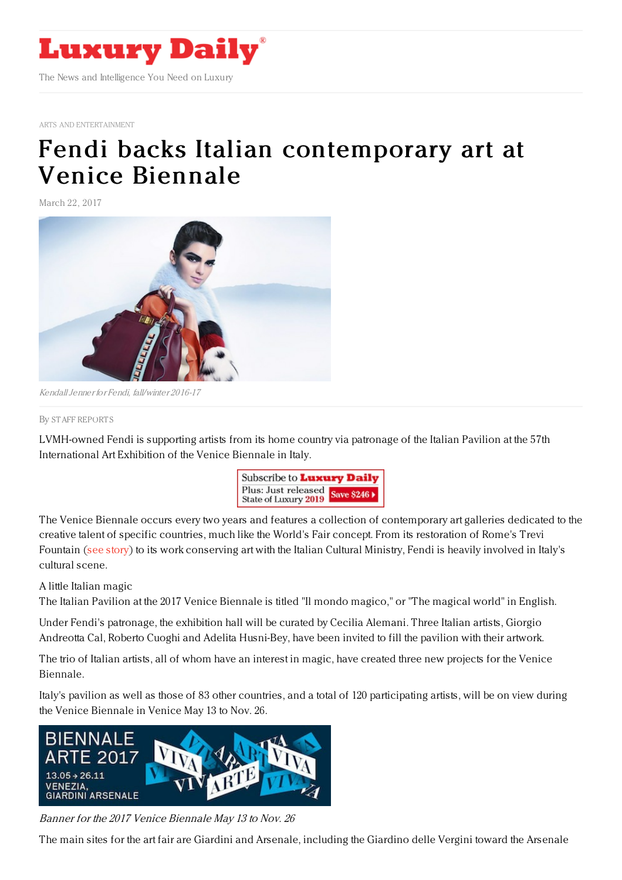

ARTS AND [ENTERTAINMENT](https://www.luxurydaily.com/category/sectors/arts-and-entertainment/)

## Fendi backs Italian [contemporary](https://www.luxurydaily.com/fendi-backs-italian-contemporary-art-at-venice-biennale/) art at Venice Biennale

March 22, 2017



KendallJenner for Fendi, fall/winter 2016-17

## By STAFF [REPORT](file:///author/staff-reports) S

LVMH-owned Fendi is supporting artists from its home country via patronage of the Italian Pavilion at the 57th International Art Exhibition of the Venice Biennale in Italy.



The Venice Biennale occurs every two years and features a collection of contemporary art galleries dedicated to the creative talent of specific countries, much like the World's Fair concept. From its restoration of Rome's Trevi Fountain (see [story](https://www.luxurydaily.com/fendi-shows-gratitude-to-rome-unveils-restored-trevi-fountain/)) to its work conserving art with the Italian Cultural Ministry, Fendi is heavily involved in Italy's cultural scene.

A little Italian magic

The Italian Pavilion at the 2017 Venice Biennale is titled "Il mondo magico," or "The magical world" in English.

Under Fendi's patronage, the exhibition hall will be curated by Cecilia Alemani. Three Italian artists, Giorgio Andreotta Cal, Roberto Cuoghi and Adelita Husni-Bey, have been invited to fill the pavilion with their artwork.

The trio of Italian artists, all of whom have an interest in magic, have created three new projects for the Venice Biennale.

Italy's pavilion as well as those of 83 other countries, and a total of 120 participating artists, will be on view during the Venice Biennale in Venice May 13 to Nov. 26.



Banner for the 2017 Venice Biennale May 13 to Nov. 26

The main sites for the art fair are Giardini and Arsenale, including the Giardino delle Vergini toward the Arsenale